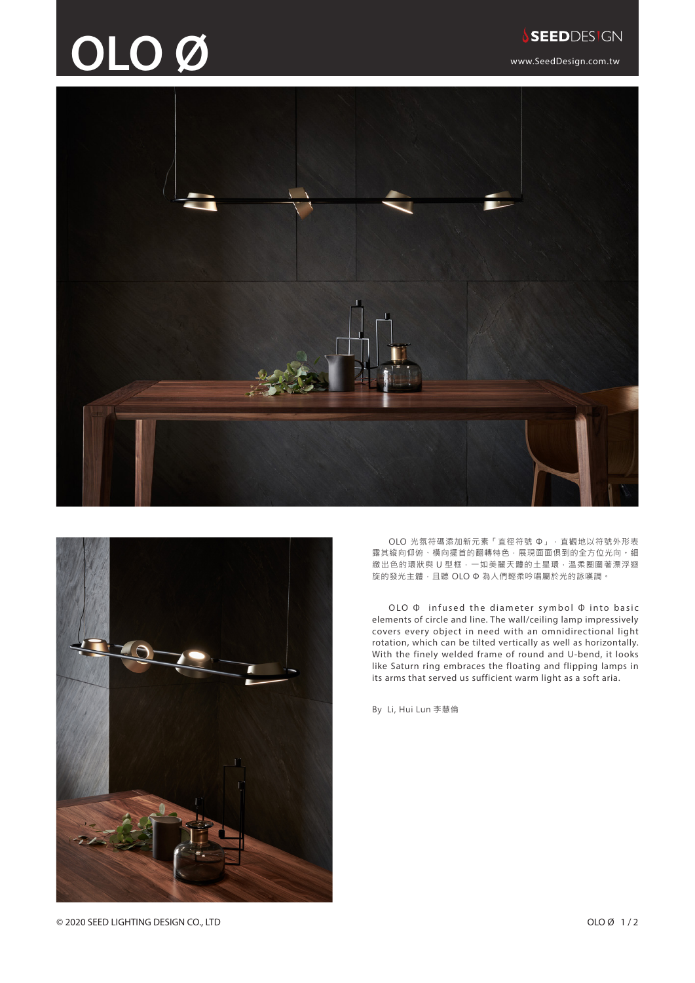## **OLO Ø** www.SeedDesign.com.tw





OLO 光氛符碼添加新元素「直徑符號 Φ」,直觀地以符號外形表 露其縱向仰俯、橫向擺首的翻轉特色,展現面面俱到的全方位光向。細 緻出色的環狀與 U 型框,一如美麗天體的土星環,溫柔圈圍著漂浮迴 旋的發光主體,且聽 OLO Φ 為人們輕柔吟唱屬於光的詠嘆調。

OLO Φ infused the diameter symbol Φ into basic elements of circle and line. The wall/ceiling lamp impressively covers every object in need with an omnidirectional light rotation, which can be tilted vertically as well as horizontally. With the finely welded frame of round and U-bend, it looks like Saturn ring embraces the floating and flipping lamps in its arms that served us sufficient warm light as a soft aria.

By Li, Hui Lun 李慧倫